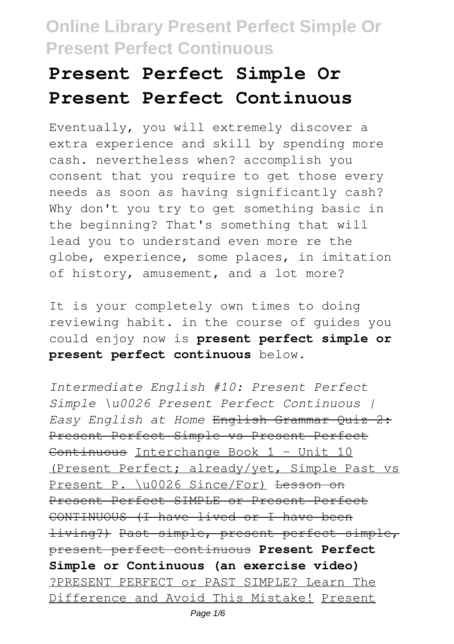# **Present Perfect Simple Or Present Perfect Continuous**

Eventually, you will extremely discover a extra experience and skill by spending more cash. nevertheless when? accomplish you consent that you require to get those every needs as soon as having significantly cash? Why don't you try to get something basic in the beginning? That's something that will lead you to understand even more re the globe, experience, some places, in imitation of history, amusement, and a lot more?

It is your completely own times to doing reviewing habit. in the course of guides you could enjoy now is **present perfect simple or present perfect continuous** below.

*Intermediate English #10: Present Perfect Simple \u0026 Present Perfect Continuous | Easy English at Home* English Grammar Quiz 2: Present Perfect Simple vs Present Perfect Continuous Interchange Book 1 – Unit 10 (Present Perfect; already/yet, Simple Past vs Present P. \u0026 Since/For) Lesson on Present Perfect SIMPLE or Present Perfect CONTINUOUS (I have lived or I have been living?) Past simple, present perfect simple, present perfect continuous **Present Perfect Simple or Continuous (an exercise video)** ?PRESENT PERFECT or PAST SIMPLE? Learn The Difference and Avoid This Mistake! Present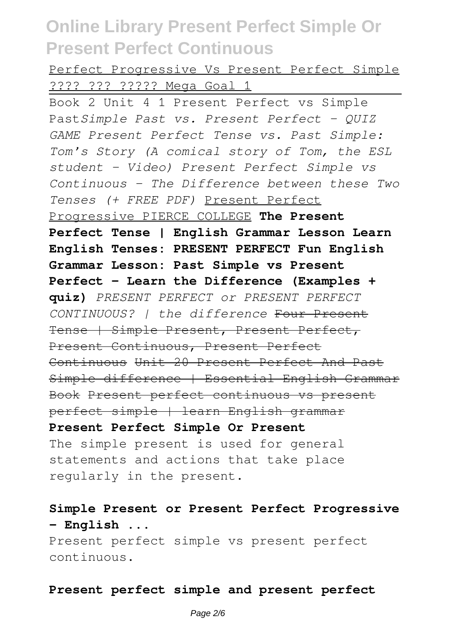Perfect Progressive Vs Present Perfect Simple ???? ??? ????? Mega Goal 1

Book 2 Unit 4 1 Present Perfect vs Simple Past*Simple Past vs. Present Perfect - QUIZ GAME Present Perfect Tense vs. Past Simple: Tom's Story (A comical story of Tom, the ESL student - Video) Present Perfect Simple vs Continuous - The Difference between these Two Tenses (+ FREE PDF)* Present Perfect Progressive PIERCE COLLEGE **The Present Perfect Tense | English Grammar Lesson Learn English Tenses: PRESENT PERFECT Fun English Grammar Lesson: Past Simple vs Present Perfect - Learn the Difference (Examples + quiz)** *PRESENT PERFECT or PRESENT PERFECT CONTINUOUS? | the difference* Four Present Tense | Simple Present, Present Perfect, Present Continuous, Present Perfect Continuous Unit 20 Present Perfect And Past Simple difference | Essential English Grammar Book Present perfect continuous vs present perfect simple | learn English grammar **Present Perfect Simple Or Present** The simple present is used for general statements and actions that take place regularly in the present.

**Simple Present or Present Perfect Progressive – English ...** Present perfect simple vs present perfect continuous.

#### **Present perfect simple and present perfect**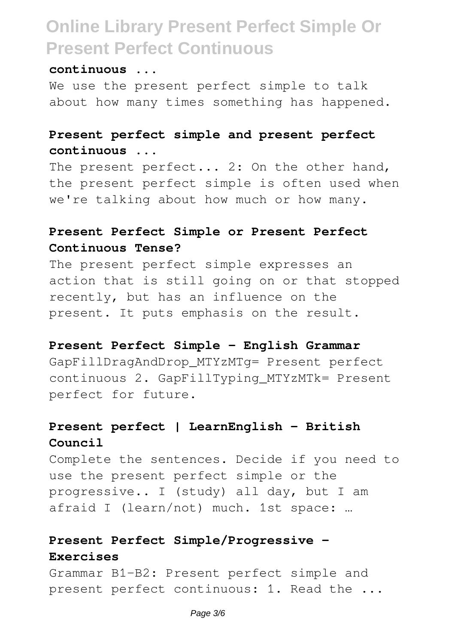#### **continuous ...**

We use the present perfect simple to talk about how many times something has happened.

### **Present perfect simple and present perfect continuous ...**

The present perfect... 2: On the other hand, the present perfect simple is often used when we're talking about how much or how many.

### **Present Perfect Simple or Present Perfect Continuous Tense?**

The present perfect simple expresses an action that is still going on or that stopped recently, but has an influence on the present. It puts emphasis on the result.

#### **Present Perfect Simple - English Grammar**

GapFillDragAndDrop\_MTYzMTg= Present perfect continuous 2. GapFillTyping\_MTYzMTk= Present perfect for future.

### **Present perfect | LearnEnglish - British Council**

Complete the sentences. Decide if you need to use the present perfect simple or the progressive.. I (study) all day, but I am afraid I (learn/not) much. 1st space: …

## **Present Perfect Simple/Progressive - Exercises**

Grammar B1-B2: Present perfect simple and present perfect continuous: 1. Read the ...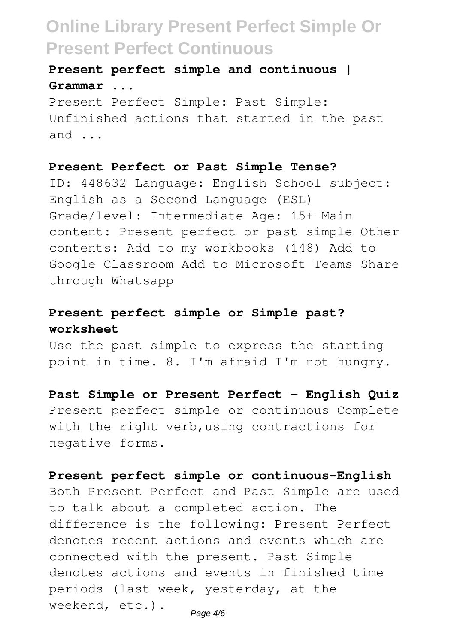**Present perfect simple and continuous | Grammar ...**

Present Perfect Simple: Past Simple: Unfinished actions that started in the past and ...

#### **Present Perfect or Past Simple Tense?**

ID: 448632 Language: English School subject: English as a Second Language (ESL) Grade/level: Intermediate Age: 15+ Main content: Present perfect or past simple Other contents: Add to my workbooks (148) Add to Google Classroom Add to Microsoft Teams Share through Whatsapp

### **Present perfect simple or Simple past? worksheet**

Use the past simple to express the starting point in time. 8. I'm afraid I'm not hungry.

#### **Past Simple or Present Perfect - English Quiz**

Present perfect simple or continuous Complete with the right verb, using contractions for negative forms.

#### **Present perfect simple or continuous-English**

Both Present Perfect and Past Simple are used to talk about a completed action. The difference is the following: Present Perfect denotes recent actions and events which are connected with the present. Past Simple denotes actions and events in finished time periods (last week, yesterday, at the weekend, etc.).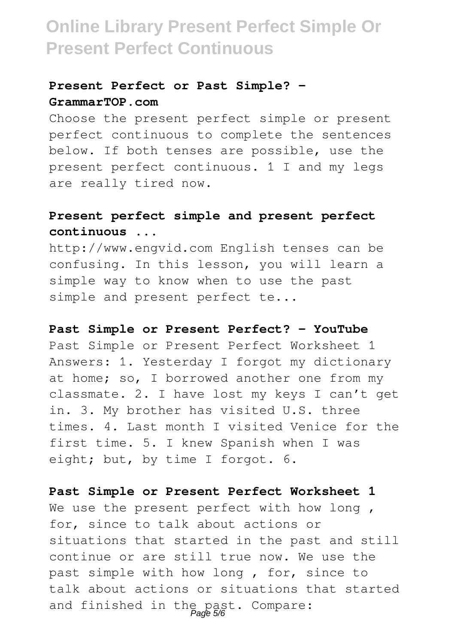### **Present Perfect or Past Simple? - GrammarTOP.com**

Choose the present perfect simple or present perfect continuous to complete the sentences below. If both tenses are possible, use the present perfect continuous. 1 I and my legs are really tired now.

### **Present perfect simple and present perfect continuous ...**

http://www.engvid.com English tenses can be confusing. In this lesson, you will learn a simple way to know when to use the past simple and present perfect te...

#### **Past Simple or Present Perfect? - YouTube**

Past Simple or Present Perfect Worksheet 1 Answers: 1. Yesterday I forgot my dictionary at home; so, I borrowed another one from my classmate. 2. I have lost my keys I can't get in. 3. My brother has visited U.S. three times. 4. Last month I visited Venice for the first time. 5. I knew Spanish when I was eight; but, by time I forgot. 6.

#### **Past Simple or Present Perfect Worksheet 1**

We use the present perfect with how long, for, since to talk about actions or situations that started in the past and still continue or are still true now. We use the past simple with how long , for, since to talk about actions or situations that started and finished in the past. Compare: